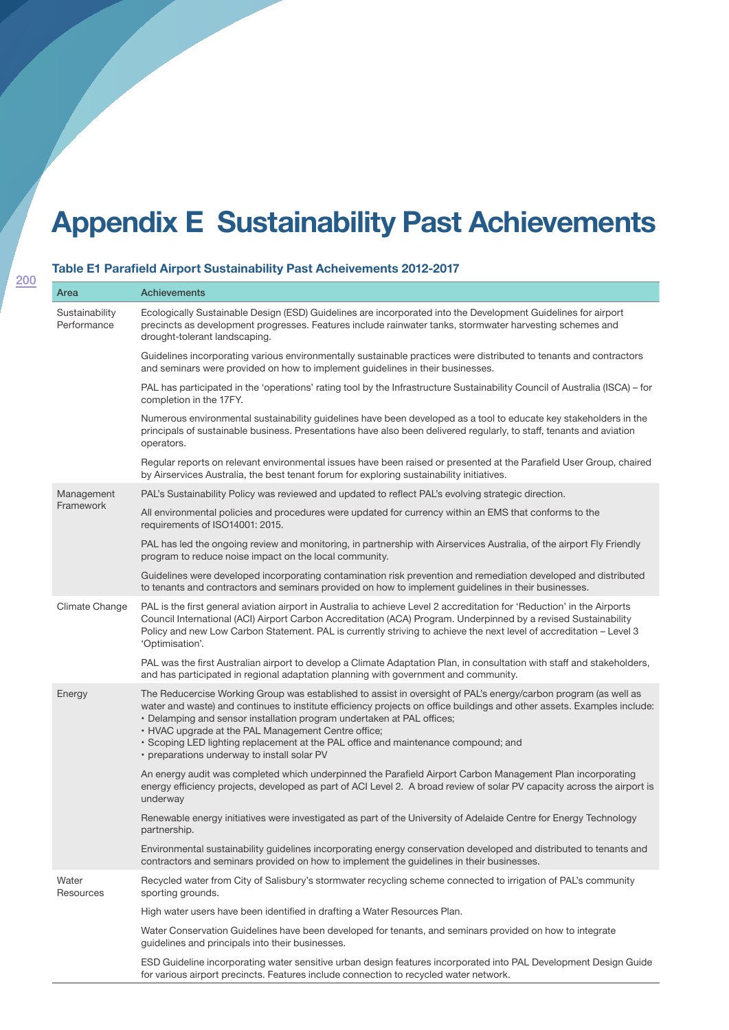## **Appendix E Sustainability Past Achievements**

## **Table E1 Parafield Airport Sustainability Past Acheivements 2012-2017**

| Area                          | <b>Achievements</b>                                                                                                                                                                                                                                                                                                                                                                                                                                                                                              |
|-------------------------------|------------------------------------------------------------------------------------------------------------------------------------------------------------------------------------------------------------------------------------------------------------------------------------------------------------------------------------------------------------------------------------------------------------------------------------------------------------------------------------------------------------------|
| Sustainability<br>Performance | Ecologically Sustainable Design (ESD) Guidelines are incorporated into the Development Guidelines for airport<br>precincts as development progresses. Features include rainwater tanks, stormwater harvesting schemes and<br>drought-tolerant landscaping.                                                                                                                                                                                                                                                       |
|                               | Guidelines incorporating various environmentally sustainable practices were distributed to tenants and contractors<br>and seminars were provided on how to implement guidelines in their businesses.                                                                                                                                                                                                                                                                                                             |
|                               | PAL has participated in the 'operations' rating tool by the Infrastructure Sustainability Council of Australia (ISCA) – for<br>completion in the 17FY.                                                                                                                                                                                                                                                                                                                                                           |
|                               | Numerous environmental sustainability guidelines have been developed as a tool to educate key stakeholders in the<br>principals of sustainable business. Presentations have also been delivered regularly, to staff, tenants and aviation<br>operators.                                                                                                                                                                                                                                                          |
|                               | Regular reports on relevant environmental issues have been raised or presented at the Parafield User Group, chaired<br>by Airservices Australia, the best tenant forum for exploring sustainability initiatives.                                                                                                                                                                                                                                                                                                 |
| Management<br>Framework       | PAL's Sustainability Policy was reviewed and updated to reflect PAL's evolving strategic direction.                                                                                                                                                                                                                                                                                                                                                                                                              |
|                               | All environmental policies and procedures were updated for currency within an EMS that conforms to the<br>requirements of ISO14001: 2015.                                                                                                                                                                                                                                                                                                                                                                        |
|                               | PAL has led the ongoing review and monitoring, in partnership with Airservices Australia, of the airport Fly Friendly<br>program to reduce noise impact on the local community.                                                                                                                                                                                                                                                                                                                                  |
|                               | Guidelines were developed incorporating contamination risk prevention and remediation developed and distributed<br>to tenants and contractors and seminars provided on how to implement guidelines in their businesses.                                                                                                                                                                                                                                                                                          |
| Climate Change                | PAL is the first general aviation airport in Australia to achieve Level 2 accreditation for 'Reduction' in the Airports<br>Council International (ACI) Airport Carbon Accreditation (ACA) Program. Underpinned by a revised Sustainability<br>Policy and new Low Carbon Statement. PAL is currently striving to achieve the next level of accreditation - Level 3<br>'Optimisation'.                                                                                                                             |
|                               | PAL was the first Australian airport to develop a Climate Adaptation Plan, in consultation with staff and stakeholders,<br>and has participated in regional adaptation planning with government and community.                                                                                                                                                                                                                                                                                                   |
| Energy                        | The Reducercise Working Group was established to assist in oversight of PAL's energy/carbon program (as well as<br>water and waste) and continues to institute efficiency projects on office buildings and other assets. Examples include:<br>• Delamping and sensor installation program undertaken at PAL offices;<br>• HVAC upgrade at the PAL Management Centre office;<br>· Scoping LED lighting replacement at the PAL office and maintenance compound; and<br>• preparations underway to install solar PV |
|                               | An energy audit was completed which underpinned the Parafield Airport Carbon Management Plan incorporating<br>energy efficiency projects, developed as part of ACI Level 2. A broad review of solar PV capacity across the airport is<br>underway                                                                                                                                                                                                                                                                |
|                               | Renewable energy initiatives were investigated as part of the University of Adelaide Centre for Energy Technology<br>partnership.                                                                                                                                                                                                                                                                                                                                                                                |
|                               | Environmental sustainability guidelines incorporating energy conservation developed and distributed to tenants and<br>contractors and seminars provided on how to implement the guidelines in their businesses.                                                                                                                                                                                                                                                                                                  |
| Water<br>Resources            | Recycled water from City of Salisbury's stormwater recycling scheme connected to irrigation of PAL's community<br>sporting grounds.                                                                                                                                                                                                                                                                                                                                                                              |
|                               | High water users have been identified in drafting a Water Resources Plan.                                                                                                                                                                                                                                                                                                                                                                                                                                        |
|                               | Water Conservation Guidelines have been developed for tenants, and seminars provided on how to integrate<br>guidelines and principals into their businesses.                                                                                                                                                                                                                                                                                                                                                     |
|                               | ESD Guideline incorporating water sensitive urban design features incorporated into PAL Development Design Guide<br>for various airport precincts. Features include connection to recycled water network.                                                                                                                                                                                                                                                                                                        |